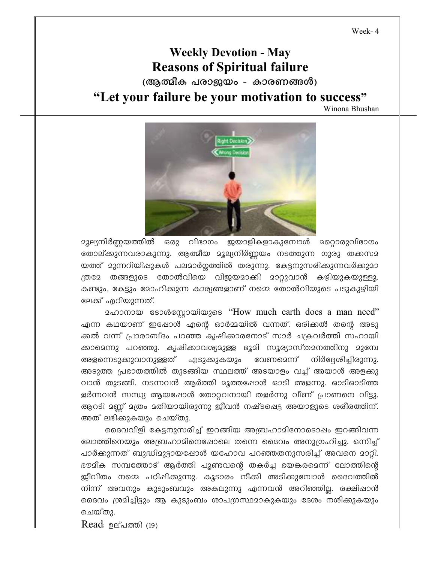Week-4

## **Weekly Devotion - May Reasons of Spiritual failure** (ആത്മീക പരാജയം - കാരണങ്ങൾ) "Let your failure be your motivation to success"

Winona Bhushan



മൂല്യനിർണ്ണയത്തിൽ ഒരു വിഭാഗം ജയാളികളാകുമ്പോൾ മറ്റൊരുവിഭാഗം തോല്ക്കുന്നവരാകുന്നു. ആത്മീയ മൂല്യനിർണ്ണയം നടത്തുന്ന ഗുരു തക്കസമ യത്ത് മുന്നറിയിഷുകൾ പലമാർഗത്തിൽ തരുന്നു. കേട്ടനുസരിക്കുന്നവർക്കുമാ ത്രമേ തങ്ങളുടെ തോൽവിയെ വിജയമാക്കി മാറ്റുവാൻ കഴിയുകയുള്ളൂ. കണ്ടും, കേട്ടും മോഹിക്കുന്ന കാര്യങ്ങളാണ് നമ്മെ തോൽവിയുടെ പടുകുഴിയി ലേക്ക് എറിയുന്നത്.

മഹാനായ ടോൾസോയിയുടെ "How much earth does a man need" എന്ന കഥയാണ് ഇഷോൾ എന്റെ ഓർമ്മയിൽ വന്നത്. ഒരിക്കൽ തന്റെ അടു ക്കൽ വന്ന് പ്രാരാബ്ദം പറഞ്ഞ കൃഷിക്കാരനോട് സാർ ചക്രവർത്തി സഹായി ക്കാമെന്നു പറഞ്ഞു. കൃഷിക്കാവശ്യമുള്ള ഭൂമി സൂര്യാസ്തമനത്തിനു മുമ്പേ അളന്നെടുക്കുവാനുള്ളത് എടുക്കുകയും വേണമെന്ന് നിർദേശിച്ചിരുന്നു. അടുത്ത പ്രഭാതത്തിൽ തുടങ്ങിയ സ്ഥലത്ത് അടയാളം വച്ച് അയാൾ അളക്കു വാൻ തുടങ്ങി. നടന്നവൻ ആർത്തി മൂത്തപ്പോൾ ഓടി അളന്നു. ഓടിഓടിത്ത ളർന്നവൻ സന്ധ്യ ആയപ്പോൾ തോറ്റവനായി തളർന്നു വീണ് പ്രാണനെ വിട്ടു. ആറടി മണ്ണ് മത്രം മതിയായിരുന്നു ജീവൻ നഷ്ടപ്പെട്ട അയാളുടെ ശരീരത്തിന്. അത് ലഭിക്കുകയും ചെയ്തു.

ദൈവവിളി കേട്ടനുസരിച്ച് ഇറങ്ങിയ അബ്രഹാമിനോടൊഷം ഇറങ്ങിവന്ന ലോത്തിനെയും അബ്രഹാമിനെഷോലെ തന്നെ ദൈവം അനുഗ്രഹിച്ചു. ഒന്നിച്ച് പാർക്കുന്നത് ബുദ്ധിമുട്ടായപ്പോൾ യഹോവ പറഞ്ഞതനുസരിച്ച് അവനെ മാറ്റി. ഭൗമീക സമ്പത്തോട് ആർത്തി പൂണ്ടവന്റെ തകർച്ച ഭയങ്കരമെന്ന് ലോത്തിന്റെ ജീവിതം നമ്മെ പഠിപ്പിക്കുന്നു. കൂടാരം നീക്കി അടിക്കുമ്പോൾ ദൈവത്തിൽ നിന്ന് അവനും കുടുംബവും അകലുന്നു എന്നവൻ അറിഞ്ഞില്ല. രക്ഷിഷാൻ ദൈവം ശ്രമിച്ചിട്ടും ആ കുടുംബം ശാപഗ്രസ്ഥമാകുകയും ദേശം നശിക്കുകയും ചെയ്തു.

Read: ഉല്പത്തി (19)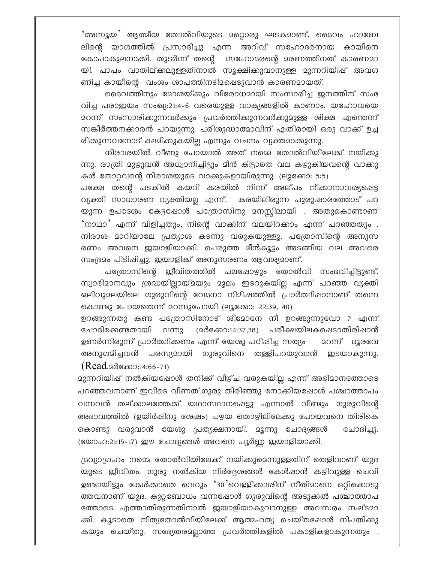'അസൂയ' ആത്മീയ തോൽവിയുടെ മറ്റൊരു ഘടകമാണ്. ദൈവം ഹാബേ ലിന്റെ യാഗത്തിൽ പ്രസാദിച്ചു എന്ന അറിവ് സഹോദരനായ കായീനെ കോപാകുലനാക്കി. തുടർന്ന് തന്റെ സഹോദരന്റെ മരണത്തിനത് കാരണമാ യി. പാപം വാതില്ക്കലുള്ളതിനാൽ സൂക്ഷിക്കുവാനുള്ള മുന്നറിയിഷ് അവഗ ണിച്ച കായീന്റെ വംശം ശാപത്തിനടിമപ്പെടുവാൻ കാരണമായത്.

ദൈവത്തിനും മോശയ്ക്കും വിരോധമായി സംസാരിച്ച ജനത്തിന് സംഭ വിച്ച പരാജയം സംഖ്യ:21:4-6 വരെയുള്ള വാക്യങ്ങളിൽ കാണാം. യഹോവയെ <u> മറന്ന് സംസാരിക്കുന്നവർക്കും പ്രവർത്തിക്കുന്നവർക്കുമുള്ള ശിക്ഷ എന്തെന്ന്</u> സങ്കീർത്തനക്കാരൻ പറയുന്നു. പരിശുദ്ധാത്മാവിന് എതിരായി ഒരു വാക്ക് ഉച്ച രിക്കുന്നവനോട് ക്ഷമിക്കുകയില്ല എന്നും വചനം വ്യക്തമാക്കുന്നു.

നിരാശയിൽ വീണു പോയാൽ അത് നമ്മെ തോൽവിയിലേക്ക് നയിക്കു ന്നു. രാത്രി മുഴുവൻ അധ്വാനിച്ചിട്ടും മീൻ കിട്ടാതെ വല കഴുകിയവന്റെ വാക്കു കൾ തോറ്റവന്റെ നിരാശയുടെ വാക്കുകളായിരുന്നു. (ലൂക്കോ: 5:5)

പക്ഷേ തന്റെ പടകിൽ കയറി കരയിൽ നിന്ന് അല്പം നീക്കാനാവശ്യപ്പെട്ട വ്യക്തി സാധാരണ വ്യക്തിയല്ല എന്ന്, കരയിലിരുന്ന പുരുഷാരത്തോട് പറ യുന്ന ഉപദേശം കേട്ടഷോൾ പത്രോസിനു മനസ്സിലായി . അതുകൊണ്ടാണ് 'നാഥാ' എന്ന് വിളിച്ചതും, നിന്റെ വാക്കിന് വലയിറക്കാം എന്ന് പറഞ്ഞതും . നിരാശ മാറിയാലേ പ്രത്യാശ കടന്നു വരുകയുള്ളൂ. പത്രോസിന്റെ അനുസ രണം അവനെ ജയാളിയാക്കി. പെരുത്ത മീൻകൂട്ടം അടങ്ങിയ വല അവരെ സംഭ്രമം പിടിപ്പിച്ചു. ജയാളിക്ക് അനുസരണം ആവശ്യമാണ്.

പത്രോസിന്റെ ജീവിതത്തിൽ പലഷോഴും തോൽവി സംഭവിച്ചിട്ടുണ്ട്. സ്വാഭിമാനവും ശ്രദ്ധയില്ലായ്മയും മൂലം ഇടറുകയില്ല എന്ന് പറഞ്ഞ വ്യക്തി ഒലിവുമലയിലെ ഗുരുവിന്റെ വേദനാ നിമിഷത്തിൽ പ്രാർത്ഥിഷാനാണ് തന്നെ കൊണ്ടു പോയതെന്ന് മറന്നുപോയി (ലൂക്കോ: 22:39, 40)

ഉറങ്ങുന്നതു കണ്ട പത്രോസിനോട് ശീമോനേ നീ ഉറങ്ങുന്നുവോ ? എന്ന് പരീക്ഷയിലകപ്പെടാതിരിപ്പാൻ ചോദിക്കേണ്ടതായി വന്നു. (മർക്കോ:14:37,38) ഉണർന്നിരുന്ന് പ്രാർത്ഥിക്കണം എന്ന് യേശു പഠിഷിച്ച സത്യം <u>ാറന്ന് ദൂരവേ</u> അനുഗമിച്ചവൻ പരസ്യമായി ഗുരുവിനെ തള്ളിപറയുവാൻ ഇടയാകുന്നു.  $(Read_2$ @}  $(3.14:66-71)$ 

മുന്നറിയിഷ് നൽകിയഷോൾ തനിക്ക് വീഴ്ച വരുകയില്ല എന്ന് അഭിമാനത്തോടെ പറഞ്ഞവനാണ് ഇവിടെ വീണത്.ഗുരു തിരിഞ്ഞു നോക്കിയപ്പോൾ പശ്ചാത്താപം വന്നവൻ തല്ക്കാലത്തേക്ക് യഥാസ്ഥാനപ്പെട്ടു എന്നാൽ വീണ്ടും ഗുരുവിന്റെ അഭാവത്തിൽ (ഉയിർഷിനു ശേഷം) പഴയ തൊഴിലിലേക്കു പോയവനെ തിരികെ കൊണ്ടു വരുവാൻ യേശു പ്രത്യക്ഷനായി. മൂന്നു ചോദ്യങ്ങൾ ചോദിച്ചു. (യോഹ:21:15-17) ഈ ചോദ്യങ്ങൾ അവനെ പൂർണ്ണ ജയാളിയാക്കി.

ദ്രവ്യാഗ്രഹം നമ്മെ തോൽവിയിലേക്ക് നയിക്കുമെന്നുള്ളതിന് തെളിവാണ് യൂദ യുടെ ജീവിതം. ഗുരു നൽകിയ നിർദ്ദേശങ്ങൾ കേൾപ്പാൻ കഴിവുള്ള ചെവി ഉണ്ടായിട്ടും കേൾക്കാതെ വെറും '30'വെള്ളിക്കാശിന് നീതിമാനെ ഒറ്റിക്കൊടു ത്തവനാണ് യൂദ. കുറ്റബോധം വന്നപ്പോൾ ഗുരുവിന്റെ അടുക്കൽ പശ്ചാത്താപ ത്തോടെ എത്താതിരുന്നതിനാൽ ജയാളിയാകുവാനുള്ള അവസരം നഷ്ടമാ ക്കി. കൂടാതെ നിത്യതോൽവിയിലേക്ക് ആത്മഹത്യ ചെയ്തഷോൾ നിപതിക്കു കയും ചെയ്തു. സഭ്യേതരാല്ലാത്ത പ്രവർത്തികളിൽ പങ്കാളികളാകുന്നതും ,